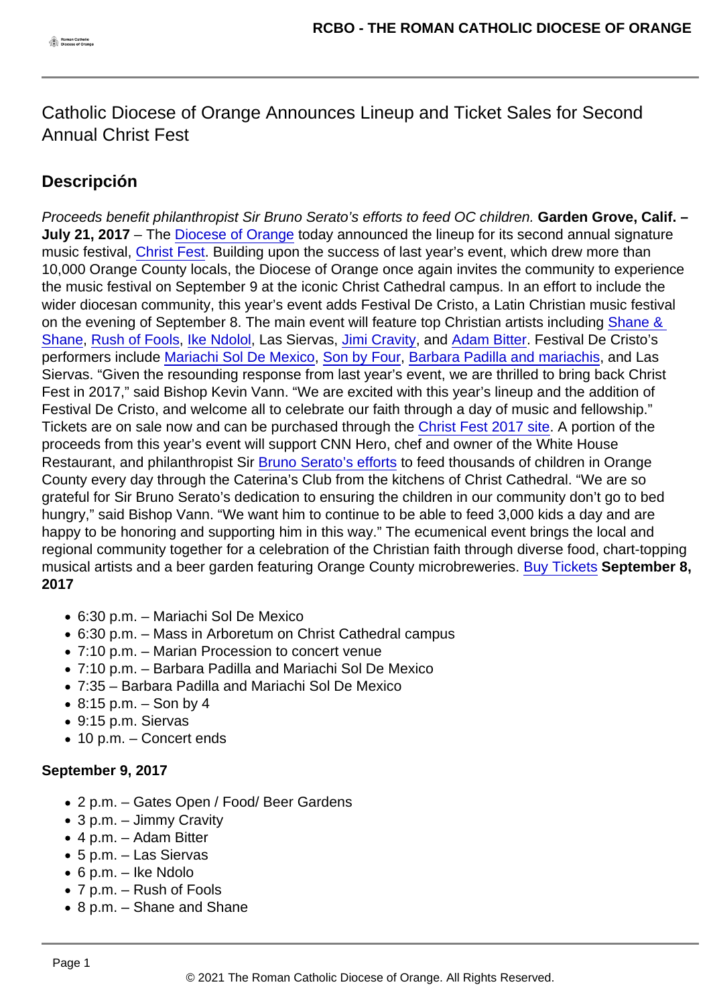## Catholic Diocese of Orange Announces Lineup and Ticket Sales for Second Annual Christ Fest

## Descripción

Proceeds benefit philanthropist Sir Bruno Serato's efforts to feed OC children. Garden Grove, Calif. – July 21, 2017 – The [Diocese of Orange](https://rcbo.staging.wpengine.com/) today announced the lineup for its second annual signature music festival, [Christ Fest.](https://rcbo.staging.wpengine.com/christfest2017/) Building upon the success of last year's event, which drew more than 10,000 Orange County locals, the Diocese of Orange once again invites the community to experience the music festival on September 9 at the iconic Christ Cathedral campus. In an effort to include the wider diocesan community, this year's event adds Festival De Cristo, a Latin Christian music festival on the evening of September 8. The main event will feature top Christian artists including Shane & [Shane,](https://shaneandshane.com/) [Rush of Fools](http://www.rushoffools.com/), [Ike Ndolol](http://www.ikendolo.com/), Las Siervas, [Jimi Cravity](https://jimicravity.com/), and [Adam Bitter](http://www.adambitter.com/). Festival De Cristo's performers include [Mariachi Sol De Mexico,](http://soldemexicomusic.com/) [Son by Four,](http://www.sonbyfouronline.com/) [Barbara Padilla and mariachis](http://barbarapadilla.com/en/), and Las Siervas. "Given the resounding response from last year's event, we are thrilled to bring back Christ Fest in 2017," said Bishop Kevin Vann. "We are excited with this year's lineup and the addition of Festival De Cristo, and welcome all to celebrate our faith through a day of music and fellowship." Tickets are on sale now and can be purchased through the [Christ Fest 2017 site.](https://christfestoc.frontgatetickets.com/) A portion of the proceeds from this year's event will support CNN Hero, chef and owner of the White House Restaurant, and philanthropist Sir [Bruno Serato's efforts](https://youtu.be/e8Rk-DKmP4E) to feed thousands of children in Orange County every day through the Caterina's Club from the kitchens of Christ Cathedral. "We are so grateful for Sir Bruno Serato's dedication to ensuring the children in our community don't go to bed hungry," said Bishop Vann. "We want him to continue to be able to feed 3,000 kids a day and are happy to be honoring and supporting him in this way." The ecumenical event brings the local and regional community together for a celebration of the Christian faith through diverse food, chart-topping musical artists and a beer garden featuring Orange County microbreweries. [Buy Tickets](https://christfestoc.frontgatetickets.com/) September 8, 2017

- 6:30 p.m. Mariachi Sol De Mexico
- 6:30 p.m. Mass in Arboretum on Christ Cathedral campus
- 7:10 p.m. Marian Procession to concert venue
- 7:10 p.m. Barbara Padilla and Mariachi Sol De Mexico
- 7:35 Barbara Padilla and Mariachi Sol De Mexico
- $\bullet$  8:15 p.m. Son by 4
- 9:15 p.m. Siervas
- 10 p.m. Concert ends

## September 9, 2017

- 2 p.m. Gates Open / Food/ Beer Gardens
- 3 p.m. Jimmy Cravity
- 4 p.m. Adam Bitter
- 5 p.m. Las Siervas
- 6 p.m. Ike Ndolo
- 7 p.m. Rush of Fools
- 8 p.m. Shane and Shane